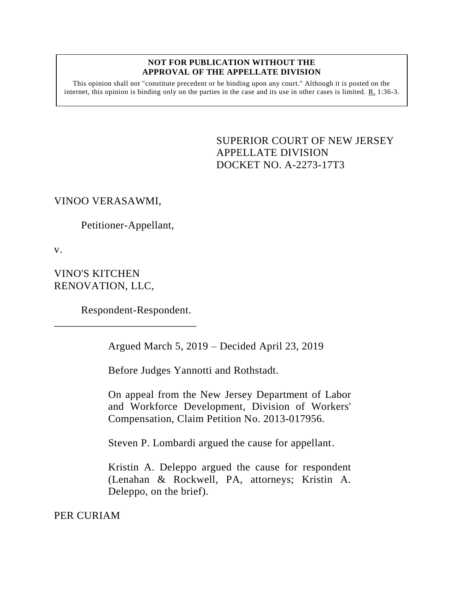## **NOT FOR PUBLICATION WITHOUT THE APPROVAL OF THE APPELLATE DIVISION**

This opinion shall not "constitute precedent or be binding upon any court." Although it is posted on the internet, this opinion is binding only on the parties in the case and its use in other cases is limited.  $\underline{R}$ . 1:36-3.

> SUPERIOR COURT OF NEW JERSEY APPELLATE DIVISION DOCKET NO. A-2273-17T3

VINOO VERASAWMI,

Petitioner-Appellant,

v.

VINO'S KITCHEN RENOVATION, LLC,

Respondent-Respondent.

\_\_\_\_\_\_\_\_\_\_\_\_\_\_\_\_\_\_\_\_\_\_\_\_\_\_

Argued March 5, 2019 – Decided April 23, 2019

Before Judges Yannotti and Rothstadt.

On appeal from the New Jersey Department of Labor and Workforce Development, Division of Workers' Compensation, Claim Petition No. 2013-017956.

Steven P. Lombardi argued the cause for appellant.

Kristin A. Deleppo argued the cause for respondent (Lenahan & Rockwell, PA, attorneys; Kristin A. Deleppo, on the brief).

PER CURIAM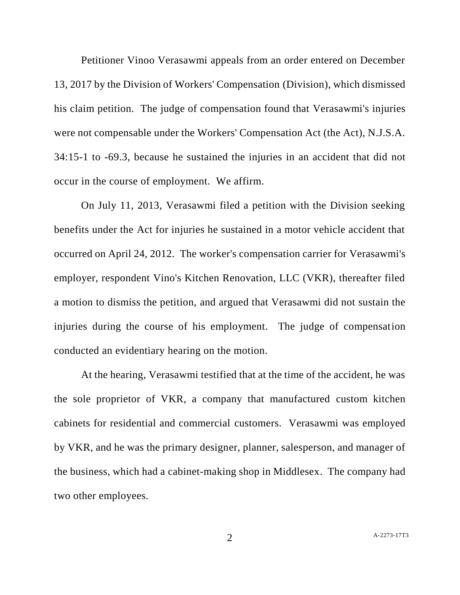Petitioner Vinoo Verasawmi appeals from an order entered on December 13, 2017 by the Division of Workers' Compensation (Division), which dismissed his claim petition. The judge of compensation found that Verasawmi's injuries were not compensable under the Workers' Compensation Act (the Act), N.J.S.A. 34:15-1 to -69.3, because he sustained the injuries in an accident that did not occur in the course of employment. We affirm.

On July 11, 2013, Verasawmi filed a petition with the Division seeking benefits under the Act for injuries he sustained in a motor vehicle accident that occurred on April 24, 2012. The worker's compensation carrier for Verasawmi's employer, respondent Vino's Kitchen Renovation, LLC (VKR), thereafter filed a motion to dismiss the petition, and argued that Verasawmi did not sustain the injuries during the course of his employment. The judge of compensation conducted an evidentiary hearing on the motion.

At the hearing, Verasawmi testified that at the time of the accident, he was the sole proprietor of VKR, a company that manufactured custom kitchen cabinets for residential and commercial customers. Verasawmi was employed by VKR, and he was the primary designer, planner, salesperson, and manager of the business, which had a cabinet-making shop in Middlesex. The company had two other employees.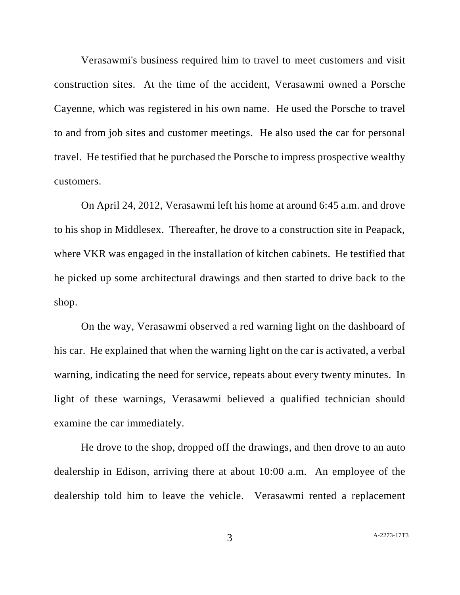Verasawmi's business required him to travel to meet customers and visit construction sites. At the time of the accident, Verasawmi owned a Porsche Cayenne, which was registered in his own name. He used the Porsche to travel to and from job sites and customer meetings. He also used the car for personal travel. He testified that he purchased the Porsche to impress prospective wealthy customers.

On April 24, 2012, Verasawmi left his home at around 6:45 a.m. and drove to his shop in Middlesex. Thereafter, he drove to a construction site in Peapack, where VKR was engaged in the installation of kitchen cabinets. He testified that he picked up some architectural drawings and then started to drive back to the shop.

On the way, Verasawmi observed a red warning light on the dashboard of his car. He explained that when the warning light on the car is activated, a verbal warning, indicating the need for service, repeats about every twenty minutes. In light of these warnings, Verasawmi believed a qualified technician should examine the car immediately.

He drove to the shop, dropped off the drawings, and then drove to an auto dealership in Edison, arriving there at about 10:00 a.m. An employee of the dealership told him to leave the vehicle. Verasawmi rented a replacement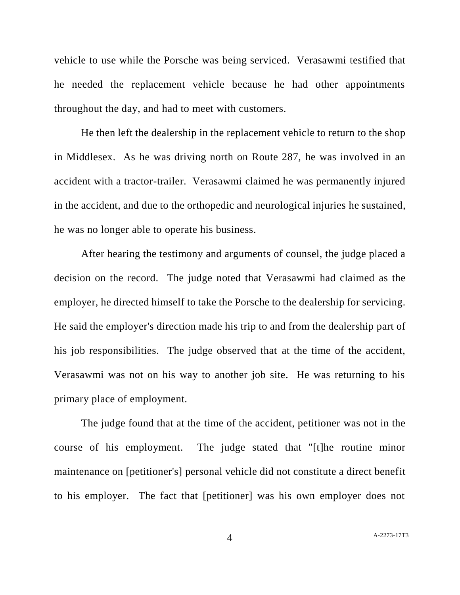vehicle to use while the Porsche was being serviced. Verasawmi testified that he needed the replacement vehicle because he had other appointments throughout the day, and had to meet with customers.

He then left the dealership in the replacement vehicle to return to the shop in Middlesex. As he was driving north on Route 287, he was involved in an accident with a tractor-trailer. Verasawmi claimed he was permanently injured in the accident, and due to the orthopedic and neurological injuries he sustained, he was no longer able to operate his business.

After hearing the testimony and arguments of counsel, the judge placed a decision on the record. The judge noted that Verasawmi had claimed as the employer, he directed himself to take the Porsche to the dealership for servicing. He said the employer's direction made his trip to and from the dealership part of his job responsibilities. The judge observed that at the time of the accident, Verasawmi was not on his way to another job site. He was returning to his primary place of employment.

The judge found that at the time of the accident, petitioner was not in the course of his employment. The judge stated that "[t]he routine minor maintenance on [petitioner's] personal vehicle did not constitute a direct benefit to his employer. The fact that [petitioner] was his own employer does not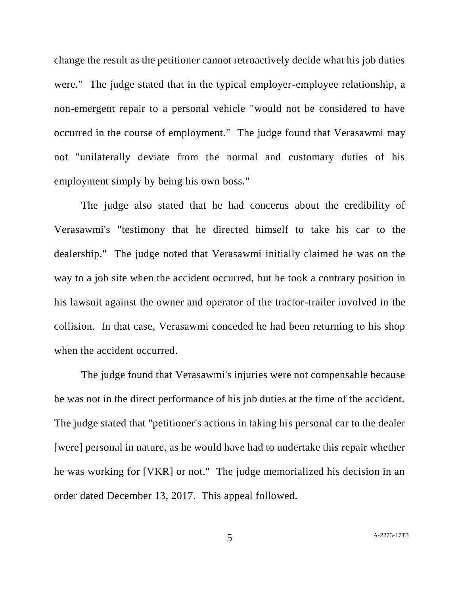change the result as the petitioner cannot retroactively decide what his job duties were." The judge stated that in the typical employer-employee relationship, a non-emergent repair to a personal vehicle "would not be considered to have occurred in the course of employment." The judge found that Verasawmi may not "unilaterally deviate from the normal and customary duties of his employment simply by being his own boss."

The judge also stated that he had concerns about the credibility of Verasawmi's "testimony that he directed himself to take his car to the dealership." The judge noted that Verasawmi initially claimed he was on the way to a job site when the accident occurred, but he took a contrary position in his lawsuit against the owner and operator of the tractor-trailer involved in the collision. In that case, Verasawmi conceded he had been returning to his shop when the accident occurred.

The judge found that Verasawmi's injuries were not compensable because he was not in the direct performance of his job duties at the time of the accident. The judge stated that "petitioner's actions in taking his personal car to the dealer [were] personal in nature, as he would have had to undertake this repair whether he was working for [VKR] or not." The judge memorialized his decision in an order dated December 13, 2017. This appeal followed.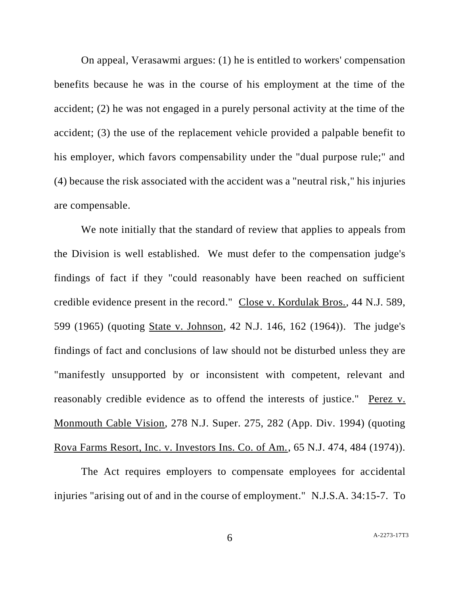On appeal, Verasawmi argues: (1) he is entitled to workers' compensation benefits because he was in the course of his employment at the time of the accident; (2) he was not engaged in a purely personal activity at the time of the accident; (3) the use of the replacement vehicle provided a palpable benefit to his employer, which favors compensability under the "dual purpose rule;" and (4) because the risk associated with the accident was a "neutral risk," his injuries are compensable.

We note initially that the standard of review that applies to appeals from the Division is well established. We must defer to the compensation judge's findings of fact if they "could reasonably have been reached on sufficient credible evidence present in the record." Close v. Kordulak Bros., 44 N.J. 589, 599 (1965) (quoting State v. Johnson, 42 N.J. 146, 162 (1964)). The judge's findings of fact and conclusions of law should not be disturbed unless they are "manifestly unsupported by or inconsistent with competent, relevant and reasonably credible evidence as to offend the interests of justice." Perez v. Monmouth Cable Vision, 278 N.J. Super. 275, 282 (App. Div. 1994) (quoting Rova Farms Resort, Inc. v. Investors Ins. Co. of Am., 65 N.J. 474, 484 (1974)).

The Act requires employers to compensate employees for accidental injuries "arising out of and in the course of employment." N.J.S.A. 34:15-7. To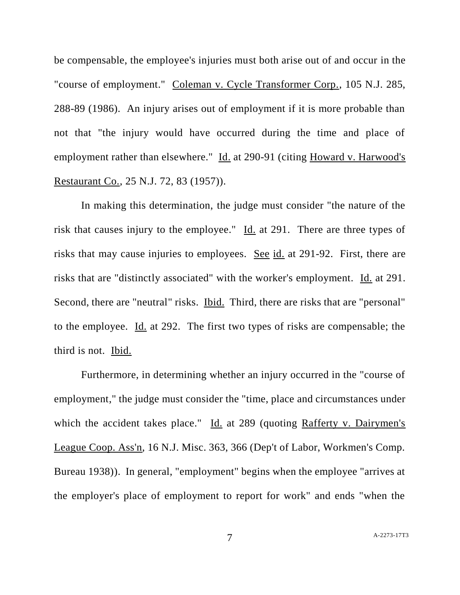be compensable, the employee's injuries must both arise out of and occur in the "course of employment." Coleman v. Cycle Transformer Corp., 105 N.J. 285, 288-89 (1986). An injury arises out of employment if it is more probable than not that "the injury would have occurred during the time and place of employment rather than elsewhere." Id. at 290-91 (citing Howard v. Harwood's Restaurant Co., 25 N.J. 72, 83 (1957)).

In making this determination, the judge must consider "the nature of the risk that causes injury to the employee." Id. at 291. There are three types of risks that may cause injuries to employees. See id. at 291-92. First, there are risks that are "distinctly associated" with the worker's employment. Id. at 291. Second, there are "neutral" risks. Ibid. Third, there are risks that are "personal" to the employee. Id. at 292. The first two types of risks are compensable; the third is not. Ibid.

Furthermore, in determining whether an injury occurred in the "course of employment," the judge must consider the "time, place and circumstances under which the accident takes place." Id. at 289 (quoting Rafferty v. Dairymen's League Coop. Ass'n, 16 N.J. Misc. 363, 366 (Dep't of Labor, Workmen's Comp. Bureau 1938)). In general, "employment" begins when the employee "arrives at the employer's place of employment to report for work" and ends "when the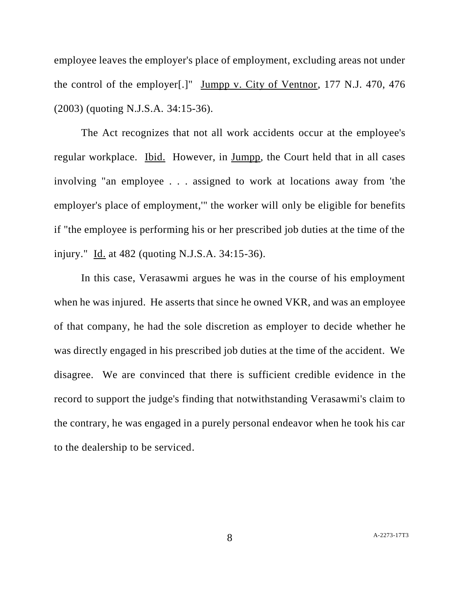employee leaves the employer's place of employment, excluding areas not under the control of the employer[.]" Jumpp v. City of Ventnor, 177 N.J. 470, 476 (2003) (quoting N.J.S.A. 34:15-36).

The Act recognizes that not all work accidents occur at the employee's regular workplace. Ibid. However, in Jumpp, the Court held that in all cases involving "an employee . . . assigned to work at locations away from 'the employer's place of employment,'" the worker will only be eligible for benefits if "the employee is performing his or her prescribed job duties at the time of the injury." Id. at 482 (quoting N.J.S.A. 34:15-36).

In this case, Verasawmi argues he was in the course of his employment when he was injured. He asserts that since he owned VKR, and was an employee of that company, he had the sole discretion as employer to decide whether he was directly engaged in his prescribed job duties at the time of the accident. We disagree. We are convinced that there is sufficient credible evidence in the record to support the judge's finding that notwithstanding Verasawmi's claim to the contrary, he was engaged in a purely personal endeavor when he took his car to the dealership to be serviced.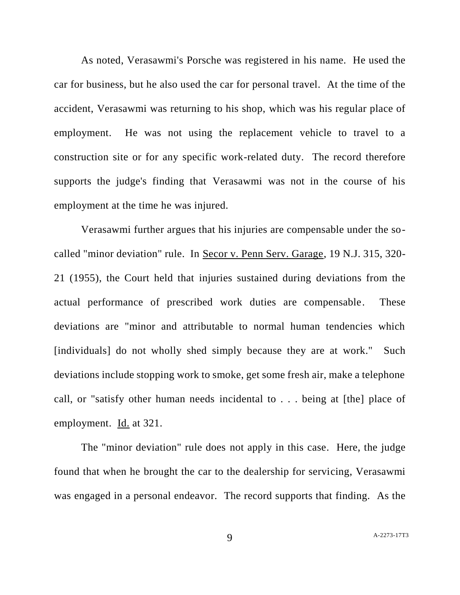As noted, Verasawmi's Porsche was registered in his name. He used the car for business, but he also used the car for personal travel. At the time of the accident, Verasawmi was returning to his shop, which was his regular place of employment. He was not using the replacement vehicle to travel to a construction site or for any specific work-related duty. The record therefore supports the judge's finding that Verasawmi was not in the course of his employment at the time he was injured.

Verasawmi further argues that his injuries are compensable under the socalled "minor deviation" rule. In Secor v. Penn Serv. Garage, 19 N.J. 315, 320- 21 (1955), the Court held that injuries sustained during deviations from the actual performance of prescribed work duties are compensable. These deviations are "minor and attributable to normal human tendencies which [individuals] do not wholly shed simply because they are at work." Such deviations include stopping work to smoke, get some fresh air, make a telephone call, or "satisfy other human needs incidental to . . . being at [the] place of employment. Id. at 321.

The "minor deviation" rule does not apply in this case. Here, the judge found that when he brought the car to the dealership for servicing, Verasawmi was engaged in a personal endeavor. The record supports that finding. As the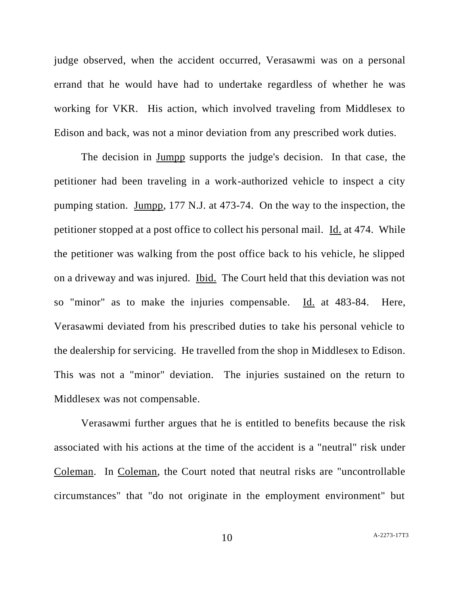judge observed, when the accident occurred, Verasawmi was on a personal errand that he would have had to undertake regardless of whether he was working for VKR. His action, which involved traveling from Middlesex to Edison and back, was not a minor deviation from any prescribed work duties.

The decision in Jumpp supports the judge's decision. In that case, the petitioner had been traveling in a work-authorized vehicle to inspect a city pumping station. Jumpp, 177 N.J. at 473-74. On the way to the inspection, the petitioner stopped at a post office to collect his personal mail. Id. at 474. While the petitioner was walking from the post office back to his vehicle, he slipped on a driveway and was injured. Ibid. The Court held that this deviation was not so "minor" as to make the injuries compensable. Id. at 483-84. Here, Verasawmi deviated from his prescribed duties to take his personal vehicle to the dealership for servicing. He travelled from the shop in Middlesex to Edison. This was not a "minor" deviation. The injuries sustained on the return to Middlesex was not compensable.

Verasawmi further argues that he is entitled to benefits because the risk associated with his actions at the time of the accident is a "neutral" risk under Coleman. In Coleman, the Court noted that neutral risks are "uncontrollable circumstances" that "do not originate in the employment environment" but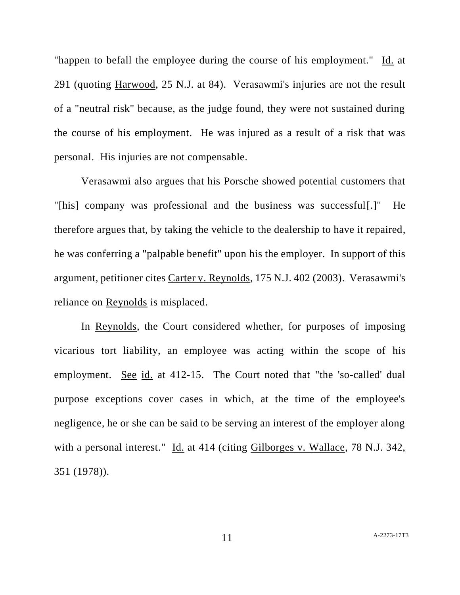"happen to befall the employee during the course of his employment." Id. at 291 (quoting Harwood, 25 N.J. at 84). Verasawmi's injuries are not the result of a "neutral risk" because, as the judge found, they were not sustained during the course of his employment. He was injured as a result of a risk that was personal. His injuries are not compensable.

Verasawmi also argues that his Porsche showed potential customers that "[his] company was professional and the business was successful[.]" He therefore argues that, by taking the vehicle to the dealership to have it repaired, he was conferring a "palpable benefit" upon his the employer. In support of this argument, petitioner cites Carter v. Reynolds, 175 N.J. 402 (2003). Verasawmi's reliance on Reynolds is misplaced.

In Reynolds, the Court considered whether, for purposes of imposing vicarious tort liability, an employee was acting within the scope of his employment. See id. at 412-15. The Court noted that "the 'so-called' dual purpose exceptions cover cases in which, at the time of the employee's negligence, he or she can be said to be serving an interest of the employer along with a personal interest." Id. at 414 (citing Gilborges v. Wallace, 78 N.J. 342, 351 (1978)).